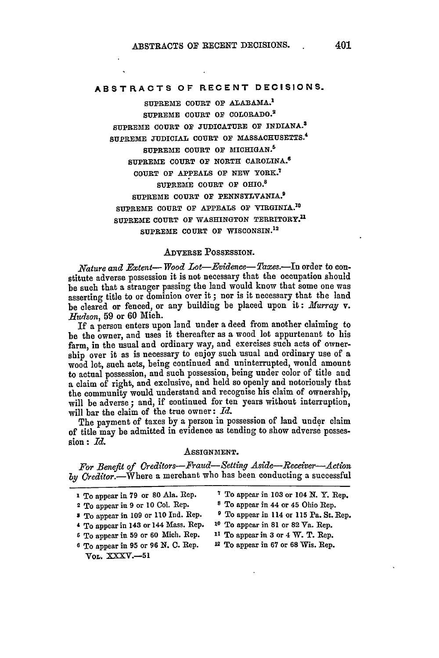# **ABSTRACTS OF RECENT DECISIONS.**

**SUPREME COURT OF ALABAMA. <sup>1</sup> SUPREME COURT OF COLORADO.2 SUPREME COURT OF JUDICATURE OF INDIANA.S SUPREME JUDICIAL COURT OF MASSACHUSETTS. <sup>4</sup> SUPREME COURT OF MICHIGAN. <sup>5</sup> SUPREME COURT OF NORTH CAROLINA. <sup>6</sup> COURT OF APPEALS OF NEW** YORK. <sup>7</sup> **SUPREME COURT OF OHIO.<sup>8</sup> SUPREME COURT OF PENNSYLVANIA. <sup>9</sup> SUPREME COURT OF APPEALS OF VIRGINIA.3<sup>0</sup> SUPREME COURT OF WASHINGTON TERRITORY.11** SUPREME COURT OF WISCONSIN.<sup>12</sup>

## **ADVERSE POSSESSION.**

*Nature and Extent- Wood Lot-Evidence- Taxes.-In* order to constitute adverse possession it is not necessary that the occupation should be such that a stranger passing the land would know that some one was asserting title to or dominion over it ; nor is it necessary that the land be cleared or fenced, or any building be placed upon it: Murray v. *liudson,* **59** or 60 Mich.

If a person enters upon land under a deed from another claiming to be the owner, and uses it thereafter as a wood lot appurtenant to his farm, in the usual and ordinary way, and exercises such acts of ownership over it as is necessary to enjoy such usual and ordinary use of a wood lot, such acts, being continued and uninterrupted, would amount to actual possession, and such possession, being under color of title and a claim of right, and exclusive, and held so openly and notoriously that the community would understand and recognise his claim of ownership, will **be** adverse ; and, if continued for ten years without interruption, will bar the claim of the true owner: *Id.*

The payment of taxes by a person in possession of land under claim of title may be admitted in evidence as tending to show adverse **posses.** sion : *Id.*

## ASSIGNMENT.

*For Benefit of Creditors-Fraud-Setting Aside-Receiver-A ciom* by Creditor.--Where a merchant who has been conducting a successful

| 1 To appear in 79 or 80 Ala. Rep.             | <sup>7</sup> To appear in 103 or 104 N.Y. Rep.        |
|-----------------------------------------------|-------------------------------------------------------|
| <sup>2</sup> To appear in 9 or 10 Col. Rep.   | <sup>8</sup> To appear in 44 or 45 Ohio Rep.          |
| * To appear in 109 or 110 Ind. Rep.           | <sup>9</sup> To appear in 114 or 115 Pa. St. Rep.     |
| 4 To appear in 143 or 144 Mass. Rep.          | <sup>10</sup> To appear in 81 or 82 $\nabla a$ . Rep. |
| <sup>5</sup> To appear in 59 or 60 Mich. Rep. | $11$ To appear in 3 or 4 W. T. Rep.                   |
| 6 To appear in 95 or 96 N. C. Rep.            | $12$ To appear in 67 or 68 Wis. Rep.                  |
| $V_{0L}$ . XXXV.-51                           |                                                       |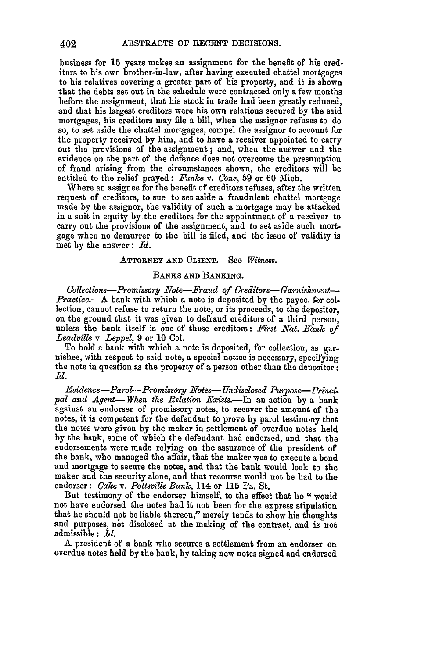business for **15** years makes an assignment for the benefit of his creditors to his own brother-in-law, after having executed chattel mortgages to his relatives covering a greater part of his property, and it is shown that the debts set out in the schedule were contracted only a few months before the assignment, that his stock in trade had been greatly reduced, and that his largest creditors were his own relations secured by the said mortgages, his creditors may file a bill, when the assignor refuses to do so, to set aside the chattel mortgages, compel the assignor to account for the property received by him, and to have a receiver appointed to carry out the provisions of the assignment; and, when the answer and the evidence on the part of the defence does not overcome the presumption of fraud arising from the circumstances shown, the creditors will be entitled to the relief prayed: *Funke* v. *Cone,* 59 or 60 Mich.

Where an assignee for the benefit of creditors refuses, after the written request of creditors, to sue to set aside a fraudulent chattel mortgage made by the assignor, the validity of such a mortgage may be attacked in a suit in equity by the creditors for the appointment of a receiver to carry out the provisions of the assignment, and to set aside such mortgage when no demurrer to the bill is filed, and the issue of validity is met **by** the answer: *Id.*

## **ATTORNEY AND CLIENT.** See *Witness.*

## **BANKS AND BANKING.**

*Collections-Promssory Note-Fraud of Creditors-Garnishment-Practice.*—A bank with which a note is deposited by the payee, for collection, cannot refuse to return the note, or its proceeds, to the depositor, on the ground that it was given to defraud creditors of a third person, unless the bank itself is one of those creditors: *First Nat. BanTc of Leadville v. Leppel,* 9 or 10 Col.

To hold a bank with which a note is deposited, for collection, as garnishee, with respect to said note, a special notice is necessary, specifying the note in question as the property of **a** person other than the depositor: *Id.*

*Eoidence-Parol-Promissory Notes- Undisclosed Purpose-Frincipal and Agent- When the Relation .Eists.-In* an action **by** a bank against an endorser of promissory notes, to recover the amount of the notes, it is competent for the defendant to prove by parol testimony that the notes were given **by** the maker in settlement of overdue notes held by the bank, some of which the defendant had endorsed, and that the endorsements were made relying on the assurance of the president of the bank, who managed the affair, that the maker was to execute a bond and mortgage to secure the notes, and that the bank would look to the maker and the security alone, and that recourse would not be had to the endorser: *Cake v. Pottsville Bank,* 114 or **115** Pa. St.

But testimony of the endorser himself, to the effect that he "would not have endorsed the notes had it not been for the express stipulation that he should not be liable thereon," merely tends to show his thoughts and purposes, not disclosed at the making of the contract, and is not admissible: *Id.*

**<sup>A</sup>**president of a bank who secures a settlement from an endorser on overdue notes held **by** the bank, by taking new notes signed and endorsed

402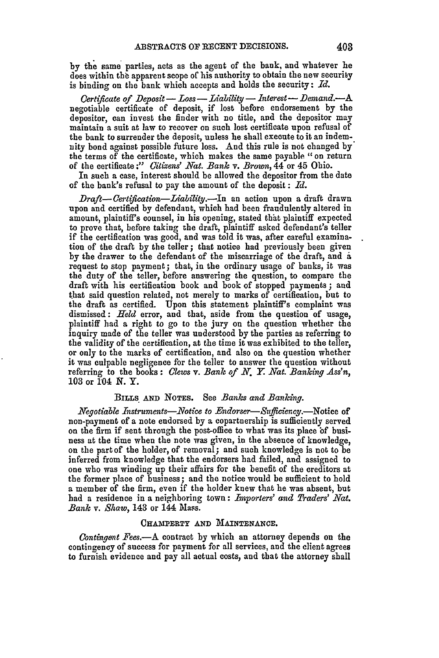by the same parties, acts as the agent of the bank, and whatever he does within the apparent scope of his authority to obtain the new security is binding on the bank which accepts and holds the security: *Id.*

*Certificate of Deposit* **-** *Loss- Liability* **-** *Interest* **-** *Demand.-A* negotiable certificate of deposit, if lost before endorsement by the depositor, can invest the finder with no title, and the depositor may maintain a suit at law to recover on such lost certificate upon refusal of the bank to surrender the deposit, unless he shall execute to it an indemnity bond against possible future loss. And this rule is not changed **by\*** the terms of the certificate, which makes the same payable "on return of the certificate :" *Citizens' Nat. Bank v. Brown,* 44 or 45 Ohio.

In such a case, interest should be allowed the depositor from the date of the bank's refusal to pay the amount of the deposit **:** *Id.*

*Draft- Certifiation-Liabilitj.-In* an action upon a draft drawn upon and certified by defendant, which had been fraudulently altered in amount, plaintiff's counsel, in his opening, stated that plaintiff expected to prove that, before taking the draft, plaintiff asked defendant's teller if the certification was good, and was told it was, after careful examination of the draft by the teller; that notice had previously been given by the drawer to the defendant of the miscarriage of the draft, and a request to stop payment; that, in the ordinary usage of banks, it was the duty of the teller, before answering the question, to compare the draft with his certification book and book of stopped payments **;** and that said question related, not merely to marks of certification, but to the draft as certified. Upon this statement plaintiff's complaint was dismissed: *Held* error, and that, aside from the question of usage, plaintiff had a right to go to the jury on the question whether the inquiry made of the teller was understood by the parties as referring to the validity of the certification, at the time it was exhibited to the teller, or only to the marks of certification, and also on the question whether it was culpable negligence for the teller to answer the question without referring to the books: *Clews v. Bank of N. Y. Nat. Banking Ass'n,* 103 or 104 *N.* Y.

## **BILLS AND NOTES.** See *Banks and Banking.*

*Negotiable Instruments-.Notice to Endorser-Sufflciency.-Notice* of non-payment of a note endorsed by a copartnership is sufficiently served on the firm if sent through the post-office to what was its place of business at the time when the note was given, in the absence of knowledge, on the part of the holder, of removal; and such knowledge is not to be inferred from knowledge that the endorsers had failed, and assigned to one who was winding up their affairs for the benefit of the creditors at the former place of business; and the notice would be sufficient to hold a member of the firm, even if the holder knew that he was absent, but had a residence in a neighboring town: *Importers' and Traders' Nat. Bank v. Shaw,* 143 or 144 Mass.

#### CHAMPERTY AND MAINTENANCE.

*Contingent Fees.*—A contract by which an attorney depends on the contingency of success for payment for all services, and the client agrees to furnish evidence and pay all actual costs, and that the abtorney shall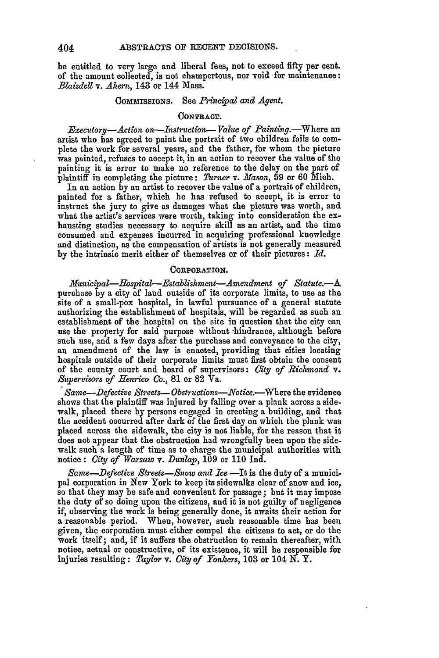be entitled to very large and liberal fees, not to exceed fifty per cent. of the amount collected, is not champertous, nor void for maintenance: *Blaisdell v. Ahern,* **143** or 144 Mass.

## COMMISSIONS. See *Principal and Agent*.

#### **CONTRACT.**

*Executory--Action on-Instruction-Value of Painting.*-Where an artist who has agreed to paint the portrait of two children fails to complete the work for several years, and the father, for whom the picture was pain'ed, refuses to accept it, in an action to recover the value of the painting it is error to make no reference to the delay on the part of plaintiff in completing the picture: *Turner* v. *Mason,* **59** or **60** Mich.

In an action **by** an artist to recover the value of a portrait of children, painted for a father, which he has refused to accept, it is error to instruct the jury to give as damages what the picture was worth, and what the artist's services were worth, taking into consideration the exhausting studies necessary to acquire skill as an artist, and the time consumed and expenses incurred in acquiring professional knowledge and distinction, as the compensation of artists is not generally measured by the intrinsic merit either of themselves or of their pictures: *Id.*

#### CORPORATION.

*Municipal-Hospital-Establishment-Amendment of Statute.--A* purchase by a city of laud outside of its corporate limits, to use as the site of a small-pox hospital, in lawful pursuance of a general statute authorizing the establishment of hospitals, will be regarded as such an establishment of the hospital on the site in question that the city **can** use the property for said purpose without hindrance, although before such use, and a few days after the purchase and conveyance to the city, an amendment of the law is enacted, providing that cities locating hospitals outside of their corporate limits must first obtain the consent of the county court and board of supervisors: *City of Richmond v. Supervisors of Henrico Co.,* **81** or **82** Va.

*Same-Defective Streets- Obstructions-Notice.-Where* the evidence shows that the plaintiff was injured by falling over a plank across a sidewalk, placed there by persons engaged in erecting a building, and that the accident occurred after dark of the first day on which the plank was placed across the sidewalk, the city is not liable, for the reason that it does not appear that the obstruction had wrongfully been upon the sidewalk such a length of time as to charge the municipal authorities with notice: *City of Warsaw v. Dunlap,* **109** or **110 Ind.**

*Same-Defective Streets-Snow and Ice* -It is the duty of a municipal corporation in New York to keep its sidewalks clear of snow and ice, so that they may be safe and convenient for passage; but it may impose the duty of so doing upon the citizens, and it is not guilty of negligence if, observing the work is being generally done, it awaits their action for a reasonable period. When, however, such reasonable time has been given, the corporation must either compel the citizens to act, or do the work itself; and, if it suffers the obstruction to remain thereafter, with notice, actual or constructive, of its existence, it will be responsible for injuries resulting: *Taylor v. City of Yonkers,* **103** or 104 **N.** Y.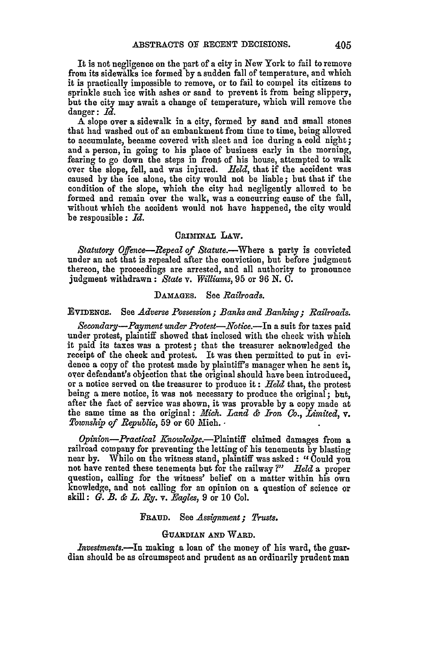It is not negligence on the part of a city in New York to fail to remove from its sidewalks ice formed by a sudden fall of temperature, and which it is practically impossible to remove, or to fail to compel its citizens to sprinkle such ice with ashes or sand to prevent it from being slippery, but the city may await a change of temperature, which will remove the danger: *Id.*

A slope over a sidewalk in a city, formed **by** sand and small stones that had washed out of an embankment from time to time, being allowed to accumulate, became covered with sleet and ice during a cold night; and a person, in going to his place of business early in the morning, fearing to go down the steps in front of his house, attempted to walk over the slope, fell, and was injured. *Reld,* that if the accident was caused **by** the ice alone, the city would not be liable; but that if the condition of the slope, which the city had negligently allowed to be formed and remain over the walk, was a concurring cause of the fall, without which the accident would not have happened, the city would be responsible: *Id.*

## CRIMINAL LAW.

*Statutory Offence-Repeal of Statute.-Where* a party is convicted under an act that is repealed after the conviction, but before judgment thereon, the proceedings are arrested, and all authority to pronounce judgment withdrawn: *State v. Williams,* 95 or 96 N. **C.**

#### **DAMAGES.** See *Railroads.*

## EVIDENCE. See *Adverse Possession; Banks and Banking; Railroads.*

*Secondary-Payment under Protest-Notice.-In* a suit for taxes paid under protest, plaintiff showed that inclosed with the check with which it paid its taxes was a protest; that the treasurer acknowledged the receipt of the check and protest. It was then permitted to put in evidence a copy of the protest made by plaintiff's manager when he sent it, over defendant's objection that the original should have been introduced, or a notice served on the treasurer to produce it **:** *Held* that, the protest being a mere notice, it was not necessary to produce the original; but, after the fact of service was shown, it was provable **by** a copy made at the same time as the original: *Mich. Land & Iron Co., Limited, v. Township of Republic,* **59** or 60 Nich.

*Opinion-Practical* Knowledge.-Plaintiff claimed damages from a railroad company for preventing the letting of his tenements by blasting near by. While on the witness stand, plaintiff was asked: "Could you not have rented these tenements but for the railway *?" Hield* a proper question, calling for the witness' belief on a matter within his own knowledge, and not calling for an opinion on a question of science or skill: G. *B. & L. By.* v. *Eagles,* 9 or 10 Col.

#### **FRAUD.** See *Assignment; Trusts.*

## **GUARDIAN AND WARD.**

*lnvestments.-In* making a loan of the money of his ward, the guar. dian should be as circumspect and prudent as an ordinarily prudent man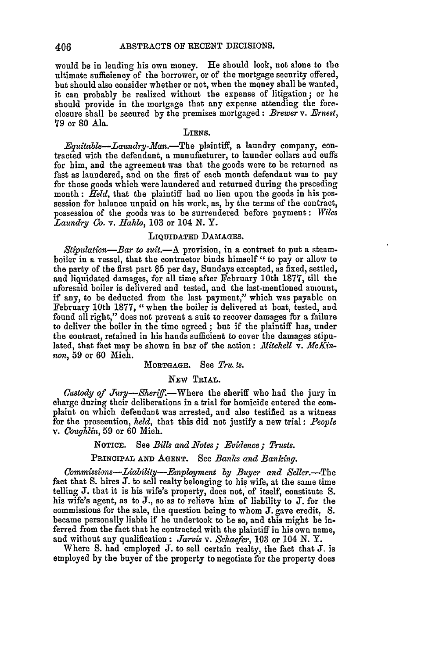would be in lending his own money. He should look, not alone to the ultimate sufficiency of the borrower, or of the mortgage security offered, but should also consider whether or not, when the money shall be wanted, it can probably be realized without the expense of litigation ; or **he** should provide in the mortgage that any expense attending the foreclosure shall be secured **by** the premises mortgaged **:** *Brewer v. Ernest,* **79** or **80** Ala.

### **LIENS.**

*Equitable-Laundry-Man.-The* plaintiff, a laundry company, **con**tracted with the defendant, a manufacturer, to launder collars and cuffs for him, and the agreement was that the goods were to **be** returned as fast as laundered, and on the first of each month defendant was to pay for those goods which were laundered and returned during the preceding month: *Held,* that the plaintiff had no lien upon the goods in his possession for balance unpaid on his work, as, **by** the terms of the contract, possession of the goods was to be surrendered before payment: *Wiles Laundry* **Co.** *v. Hahlo,* **103** or 104 **N.** Y.

#### LIQUIDATED **DAMAGES.**

Stipulation-Bar to suit.- A provision, in a contract to put a steamboiler in a vessel, that the contractor binds himself " to pay or allow to the party of the first part \$5 per day, Sundays excepted, as fixed, settled, and liquidated damages, for all time after February 10th 1877, till the aforesaid boiler is delivered and tested, and the last-mentioned amount, if any, to be deducted from the last payment," which was payable on February 10th 1877, "when the boiler is delivered at boat, tested, and found all right," does not prevent a suit to recover damages **fbr** a failure to deliver the boiler in the time agreed **;** but if the plaintiff has, under the contract, retained in his hands sufficient to cover the damages stipulated, that fact may be shown in bar of the action: *Mitchell v. McKinnon,* 59 or 60 Mich.

#### **MORTGAGE.** See Tru. *is.*

#### NEw TRIAL.

*Custody of Jury-Sheriff.*-Where the sheriff who had the jury in charge during their deliberations in a trial for homicide entered the complaint on which defendant was arrested, and also testified as a witness for the prosecution, *held,* that this did not justify a new trial: *People v. Coughlin,* 59 or 60 Mich.

## NOTIcE. See *Bills and 2Votes ; Evidence; Trusts.*

## PRINCIPAL **AND AGENT.** See *Banks and Banling.*

*Commissions-Liability--Employment by Buyer and Seller.*-The fact that S. hires **J.** to sell realty belonging to his wife, at the same time telling **J.** that it is his wife's property, does not, of itself, constitute S. his wife's agent, as to J., so as to relieve him of liability to J. for **the** commissions for the sale, the question being to whom **J.** gave credit. S. became personally liable if he undertook to be so, and this might be inferred from the fact that he contracted with the plaintiff in his own name, and without any qualification : *Jarvis v. Schaefer,* 103 or 104 N. Y.

Where **S.** had employed J. to sell certain realty, the fact that J. is employed by the buyer of the property to negotiate for the property does

406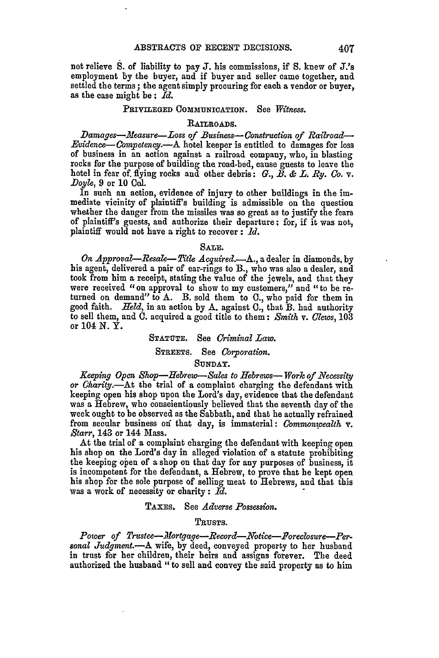not relieve **S.** of liability to pay **J.** his commissions, if **S.** knew of J.'s employment **by** the buyer, and if buyer and seller came together, and settled the terms; the agent simply procuring for each a vendor or buyer, as the case might **be:** *Id.*

### PRIVILEGED COMMUNICATION. See *Witness.*

## RAILROADS.

*Damages--Measure-Loss of Business-Construction of Railroad-Evidence--Competency.-A* hotel keeper is entitled to damages for loss of business in an action against a railroad company, who, in blasting rocks for the purpose of building the road-bed, cause guests to leave the hotel in fear of. flying rocks and other debris: G., *B. & L. Ry. Co.* v. *Doyle,* 9 or 10 Col.

In such an action, evidence of injury to other buildings in the immediate vicinity of plaintiff's building is admissible on the question whether the danger from the missiles was so great as to justify the fears of plaintiff's guests, and authorize their departure: for, if it was not, plaintiff would not have a right to recover **:** *Id.*

#### SALE.

*On Approval-Resae-tle Acquired.-A.,* a dealer in diamonds, **by** his agent, delivered a pair of ear-rings to *B.,* who was also a dealer, and took from him a receipt, stating the value of the jewels, and that they were received "on approval to show to my customers," and "to be re- turned on demand" to **A.** B. sold them to **C.,** who paid for them in good faith. *Held,* in an action **by A.** against **C.,** that B. had authority to sell them, and **0.** acquired a good title to them: *Smith* v. *Clews,* **103** or 104 **N.** Y.

#### **STATUTE.** See *Criminal Law.*

## STREETS. See *Corporation.*

## **SUNDAY.**

*Keeping Open Shop--Hebrew-Sales to Hebrews-- Work of Necessity or Charity.-At* the trial of a complaint charging the defendant with keeping open his shop upon the Lord's day, evidence that the defendant was a Hebrew, who conscientiously believed that the seventh day of the week ought to be observed as the Sabbath, and that he actually refrained from secular business **oxf** that day, is immaterial: *Commonwealth* v. *Starr,* 143 or 144 Mass.

At the trial of a complaint charging the defendant with keeping open his shop on the Lord's day in alleged violation of a statute prohibiting the keeping open of a shop on that day for any purposes of business, it is incompetent for the defendant, a Hebrew, to prove that **he** kept open his shop for the sole purpose of selling meat to Hebrews, and that this was a work of necessity or charity **:** *Id.*

## TAxES. See *Adverse Possession.*

#### TRUSTS.

*Power of Trustee-fortgage-Record-Notice-Boreclosure-Per. sonal Judgment.-A* wife, **by** deed, conveyed property to her husband in trust for her children, their heirs and assigns forever. The deed authorized the husband *"to* sell and convey the said property as to him